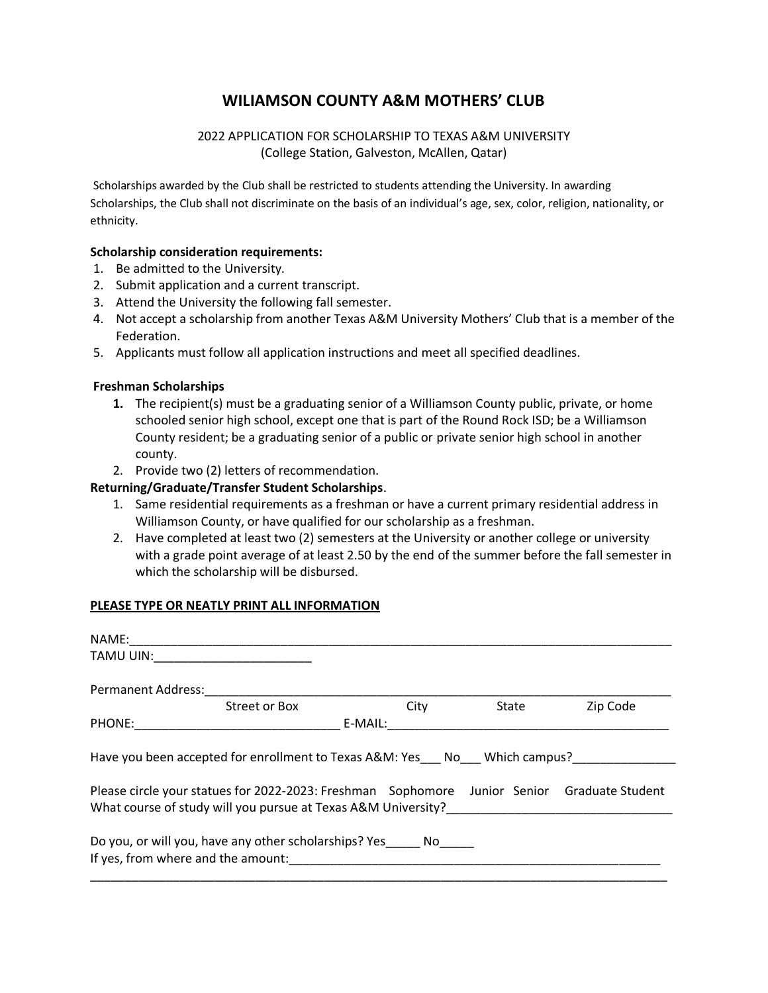# **WILIAMSON COUNTY A&M MOTHERS' CLUB**

## 2022 APPLICATION FOR SCHOLARSHIP TO TEXAS A&M UNIVERSITY (College Station, Galveston, McAllen, Qatar)

Scholarships awarded by the Club shall be restricted to students attending the University. In awarding Scholarships, the Club shall not discriminate on the basis of an individual's age, sex, color, religion, nationality, or ethnicity.

#### **Scholarship consideration requirements:**

- 1. Be admitted to the University.
- 2. Submit application and a current transcript.
- 3. Attend the University the following fall semester.
- 4. Not accept a scholarship from another Texas A&M University Mothers' Club that is a member of the Federation.
- 5. Applicants must follow all application instructions and meet all specified deadlines.

#### **Freshman Scholarships**

- **1.** The recipient(s) must be a graduating senior of a Williamson County public, private, or home schooled senior high school, except one that is part of the Round Rock ISD; be a Williamson County resident; be a graduating senior of a public or private senior high school in another county.
- 2. Provide two (2) letters of recommendation.

## **Returning/Graduate/Transfer Student Scholarships**.

- 1. Same residential requirements as a freshman or have a current primary residential address in Williamson County, or have qualified for our scholarship as a freshman.
- 2. Have completed at least two (2) semesters at the University or another college or university with a grade point average of at least 2.50 by the end of the summer before the fall semester in which the scholarship will be disbursed.

#### **PLEASE TYPE OR NEATLY PRINT ALL INFORMATION**

| NAME:                     |                                                                                                                                                                                                                                          |         |       |          |
|---------------------------|------------------------------------------------------------------------------------------------------------------------------------------------------------------------------------------------------------------------------------------|---------|-------|----------|
| TAMU UIN:                 |                                                                                                                                                                                                                                          |         |       |          |
| <b>Permanent Address:</b> |                                                                                                                                                                                                                                          |         |       |          |
|                           | Street or Box                                                                                                                                                                                                                            | City    | State | Zip Code |
| PHONE:                    |                                                                                                                                                                                                                                          | E-MAIL: |       |          |
|                           | Have you been accepted for enrollment to Texas A&M: Yes No Which campus?<br>Please circle your statues for 2022-2023: Freshman Sophomore Junior Senior Graduate Student<br>What course of study will you pursue at Texas A&M University? |         |       |          |
|                           | Do you, or will you, have any other scholarships? Yes<br>If yes, from where and the amount:                                                                                                                                              | No l    |       |          |